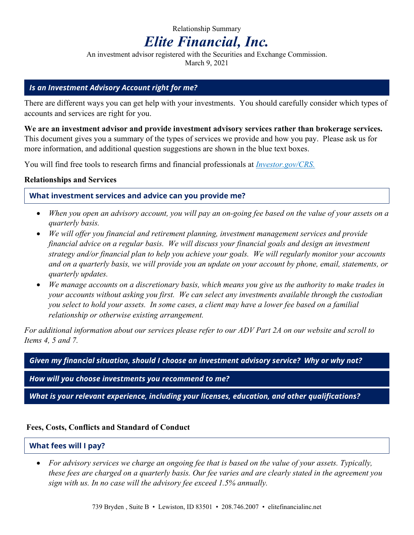# Relationship Summary *Elite Financial, Inc.*

An investment advisor registered with the Securities and Exchange Commission. March 9, 2021

#### *Is an Investment Advisory Account right for me?*

There are different ways you can get help with your investments. You should carefully consider which types of accounts and services are right for you.

**We are an investment advisor and provide investment advisory services rather than brokerage services.** This document gives you a summary of the types of services we provide and how you pay. Please ask us for more information, and additional question suggestions are shown in the blue text boxes.

You will find free tools to research firms and financial professionals at *Investor.gov/CRS.*

#### **Relationships and Services**

#### **What investment services and advice can you provide me?**

- *When you open an advisory account, you will pay an on-going fee based on the value of your assets on a quarterly basis.*
- *We will offer you financial and retirement planning, investment management services and provide financial advice on a regular basis. We will discuss your financial goals and design an investment strategy and/or financial plan to help you achieve your goals. We will regularly monitor your accounts and on a quarterly basis, we will provide you an update on your account by phone, email, statements, or quarterly updates.*
- *We manage accounts on a discretionary basis, which means you give us the authority to make trades in your accounts without asking you first. We can select any investments available through the custodian you select to hold your assets. In some cases, a client may have a lower fee based on a familial relationship or otherwise existing arrangement.*

*For additional information about our services please refer to our ADV Part 2A on our website and scroll to Items 4, 5 and 7.* 

*Given my financial situation, should I choose an investment advisory service? Why or why not?* 

*How will you choose investments you recommend to me?* 

*What is your relevant experience, including your licenses, education, and other qualifications?* 

#### **Fees, Costs, Conflicts and Standard of Conduct**

# **What fees will I pay?**

 *For advisory services we charge an ongoing fee that is based on the value of your assets. Typically, these fees are charged on a quarterly basis. Our fee varies and are clearly stated in the agreement you sign with us. In no case will the advisory fee exceed 1.5% annually.*